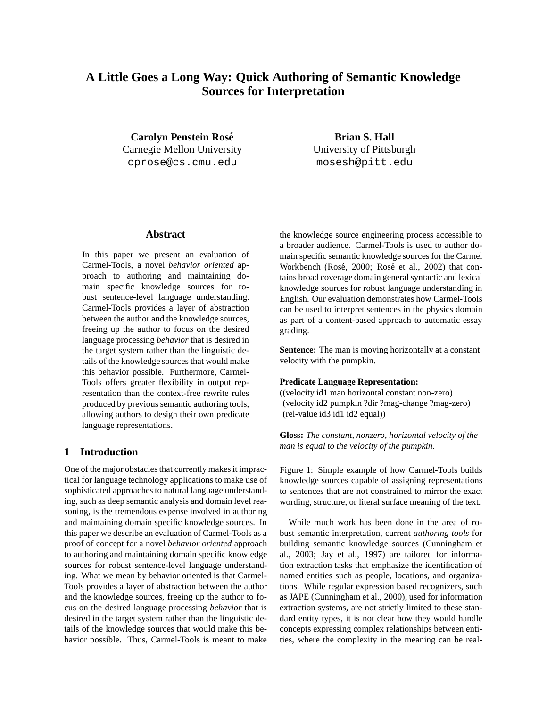# **A Little Goes a Long Way: Quick Authoring of Semantic Knowledge Sources for Interpretation**

**Carolyn Penstein Rose´** Carnegie Mellon University cprose@cs.cmu.edu

**Brian S. Hall** University of Pittsburgh mosesh@pitt.edu

### **Abstract**

In this paper we present an evaluation of Carmel-Tools, a novel *behavior oriented* approach to authoring and maintaining domain specific knowledge sources for robust sentence-level language understanding. Carmel-Tools provides a layer of abstraction between the author and the knowledge sources, freeing up the author to focus on the desired language processing *behavior* that is desired in the target system rather than the linguistic details of the knowledge sources that would make this behavior possible. Furthermore, Carmel-Tools offers greater flexibility in output representation than the context-free rewrite rules produced by previous semantic authoring tools, allowing authors to design their own predicate language representations.

## **1 Introduction**

One of the major obstacles that currently makes it impractical for language technology applications to make use of sophisticated approaches to natural language understanding, such as deep semantic analysis and domain level reasoning, is the tremendous expense involved in authoring and maintaining domain specific knowledge sources. In this paper we describe an evaluation of Carmel-Tools as a proof of concept for a novel *behavior oriented* approach to authoring and maintaining domain specific knowledge sources for robust sentence-level language understanding. What we mean by behavior oriented is that Carmel-Tools provides a layer of abstraction between the author and the knowledge sources, freeing up the author to focus on the desired language processing *behavior* that is desired in the target system rather than the linguistic details of the knowledge sources that would make this behavior possible. Thus, Carmel-Tools is meant to make the knowledge source engineering process accessible to a broader audience. Carmel-Tools is used to author domain specific semantic knowledge sources for the Carmel Workbench (Rosé, 2000; Rosé et al., 2002) that contains broad coverage domain general syntactic and lexical knowledge sources for robust language understanding in English. Our evaluation demonstrates how Carmel-Tools can be used to interpret sentences in the physics domain as part of a content-based approach to automatic essay grading.

**Sentence:** The man is moving horizontally at a constant velocity with the pumpkin.

## **Predicate Language Representation:**

((velocity id1 man horizontal constant non-zero) (velocity id2 pumpkin ?dir ?mag-change ?mag-zero) (rel-value id3 id1 id2 equal))

**Gloss:** *The constant, nonzero, horizontal velocity of the man is equal to the velocity of the pumpkin.*

Figure 1: Simple example of how Carmel-Tools builds knowledge sources capable of assigning representations to sentences that are not constrained to mirror the exact wording, structure, or literal surface meaning of the text.

While much work has been done in the area of robust semantic interpretation, current *authoring tools* for building semantic knowledge sources (Cunningham et al., 2003; Jay et al., 1997) are tailored for information extraction tasks that emphasize the identification of named entities such as people, locations, and organizations. While regular expression based recognizers, such as JAPE (Cunningham et al., 2000), used for information extraction systems, are not strictly limited to these standard entity types, it is not clear how they would handle concepts expressing complex relationships between entities, where the complexity in the meaning can be real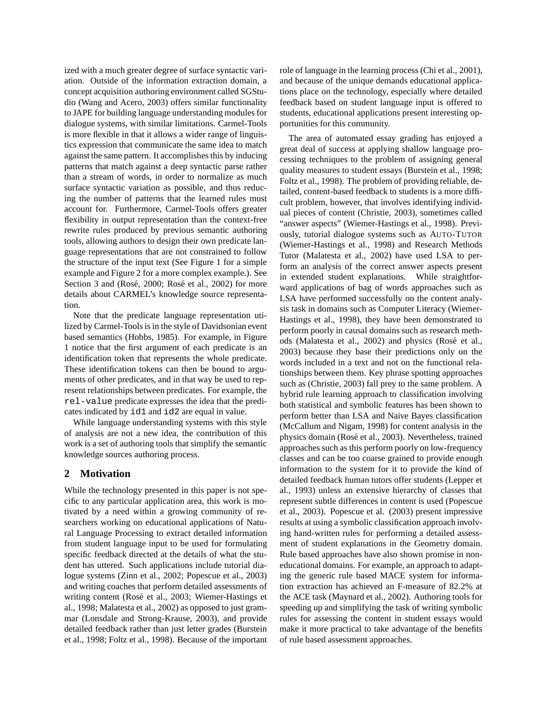ized with a much greater degree of surface syntactic variation. Outside of the information extraction domain, a concept acquisition authoring environment called SGStudio (Wang and Acero, 2003) offers similar functionality to JAPE for building language understanding modules for dialogue systems, with similar limitations. Carmel-Tools is more flexible in that it allows a wider range of linguistics expression that communicate the same idea to match against the same pattern. It accomplishes this by inducing patterns that match against a deep syntactic parse rather than a stream of words, in order to normalize as much surface syntactic variation as possible, and thus reducing the number of patterns that the learned rules must account for. Furthermore, Carmel-Tools offers greater flexibility in output representation than the context-free rewrite rules produced by previous semantic authoring tools, allowing authors to design their own predicate language representations that are not constrained to follow the structure of the input text (See Figure 1 for a simple example and Figure 2 for a more complex example.). See Section 3 and (Rosé, 2000; Rosé et al., 2002) for more details about CARMEL's knowledge source representation.

Note that the predicate language representation utilized by Carmel-Tools is in the style of Davidsonian event based semantics (Hobbs, 1985). For example, in Figure 1 notice that the first argument of each predicate is an identification token that represents the whole predicate. These identification tokens can then be bound to arguments of other predicates, and in that way be used to represent relationships between predicates. For example, the rel-value predicate expresses the idea that the predicates indicated by id1 and id2 are equal in value.

While language understanding systems with this style of analysis are not a new idea, the contribution of this work is a set of authoring tools that simplify the semantic knowledge sources authoring process.

## **2 Motivation**

While the technology presented in this paper is not specific to any particular application area, this work is motivated by a need within a growing community of researchers working on educational applications of Natural Language Processing to extract detailed information from student language input to be used for formulating specific feedback directed at the details of what the student has uttered. Such applications include tutorial dialogue systems (Zinn et al., 2002; Popescue et al., 2003) and writing coaches that perform detailed assessments of writing content (Rosé et al., 2003; Wiemer-Hastings et al., 1998; Malatesta et al., 2002) as opposed to just grammar (Lonsdale and Strong-Krause, 2003), and provide detailed feedback rather than just letter grades (Burstein et al., 1998; Foltz et al., 1998). Because of the important

role of language in the learning process (Chi et al., 2001), and because of the unique demands educational applications place on the technology, especially where detailed feedback based on student language input is offered to students, educational applications present interesting opportunities for this community.

The area of automated essay grading has enjoyed a great deal of success at applying shallow language processing techniques to the problem of assigning general quality measures to student essays (Burstein et al., 1998; Foltz et al., 1998). The problem of providing reliable, detailed, content-based feedback to students is a more difficult problem, however, that involves identifying individual pieces of content (Christie, 2003), sometimes called "answer aspects" (Wiemer-Hastings et al., 1998). Previously, tutorial dialogue systems such as AUTO-TUTOR (Wiemer-Hastings et al., 1998) and Research Methods Tutor (Malatesta et al., 2002) have used LSA to perform an analysis of the correct answer aspects present in extended student explanations. While straightforward applications of bag of words approaches such as LSA have performed successfully on the content analysis task in domains such as Computer Literacy (Wiemer-Hastings et al., 1998), they have been demonstrated to perform poorly in causal domains such as research methods (Malatesta et al., 2002) and physics (Rosé et al., 2003) because they base their predictions only on the words included in a text and not on the functional relationships between them. Key phrase spotting approaches such as (Christie, 2003) fall prey to the same problem. A hybrid rule learning approach to classification involving both statistical and symbolic features has been shown to perform better than LSA and Naive Bayes classification (McCallum and Nigam, 1998) for content analysis in the physics domain (Rosé et al., 2003). Nevertheless, trained approaches such as this perform poorly on low-frequency classes and can be too coarse grained to provide enough information to the system for it to provide the kind of detailed feedback human tutors offer students (Lepper et al., 1993) unless an extensive hierarchy of classes that represent subtle differences in content is used (Popescue et al., 2003). Popescue et al. (2003) present impressive results at using a symbolic classification approach involving hand-written rules for performing a detailed assessment of student explanations in the Geometry domain. Rule based approaches have also shown promise in noneducational domains. For example, an approach to adapting the generic rule based MACE system for information extraction has achieved an F-measure of 82.2% at the ACE task (Maynard et al., 2002). Authoring tools for speeding up and simplifying the task of writing symbolic rules for assessing the content in student essays would make it more practical to take advantage of the benefits of rule based assessment approaches.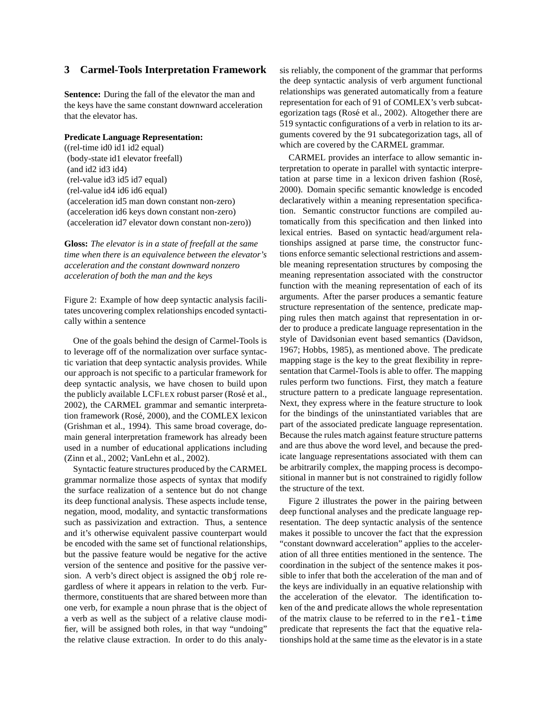## **3 Carmel-Tools Interpretation Framework**

**Sentence:** During the fall of the elevator the man and the keys have the same constant downward acceleration that the elevator has.

#### **Predicate Language Representation:**

((rel-time id0 id1 id2 equal) (body-state id1 elevator freefall)  $(and id2 id3 id4)$ (rel-value id3 id5 id7 equal) (rel-value id4 id6 id6 equal) (acceleration id5 man down constant non-zero) (acceleration id6 keys down constant non-zero) (acceleration id7 elevator down constant non-zero))

**Gloss:** *The elevator is in a state of freefall at the same time when there is an equivalence between the elevator's acceleration and the constant downward nonzero acceleration of both the man and the keys*

Figure 2: Example of how deep syntactic analysis facilitates uncovering complex relationships encoded syntactically within a sentence

One of the goals behind the design of Carmel-Tools is to leverage off of the normalization over surface syntactic variation that deep syntactic analysis provides. While our approach is not specific to a particular framework for deep syntactic analysis, we have chosen to build upon the publicly available LCFLEX robust parser (Rosé et al., 2002), the CARMEL grammar and semantic interpretation framework (Rosé, 2000), and the COMLEX lexicon (Grishman et al., 1994). This same broad coverage, domain general interpretation framework has already been used in a number of educational applications including (Zinn et al., 2002; VanLehn et al., 2002).

Syntactic feature structures produced by the CARMEL grammar normalize those aspects of syntax that modify the surface realization of a sentence but do not change its deep functional analysis. These aspects include tense, negation, mood, modality, and syntactic transformations such as passivization and extraction. Thus, a sentence and it's otherwise equivalent passive counterpart would be encoded with the same set of functional relationships, but the passive feature would be negative for the active version of the sentence and positive for the passive version. A verb's direct object is assigned the obj role regardless of where it appears in relation to the verb. Furthermore, constituents that are shared between more than one verb, for example a noun phrase that is the object of a verb as well as the subject of a relative clause modifier, will be assigned both roles, in that way "undoing" the relative clause extraction. In order to do this analysis reliably, the component of the grammar that performs the deep syntactic analysis of verb argument functional relationships was generated automatically from a feature representation for each of 91 of COMLEX's verb subcategorization tags (Rosé et al., 2002). Altogether there are 519 syntactic configurations of a verb in relation to its arguments covered by the 91 subcategorization tags, all of which are covered by the CARMEL grammar.

CARMEL provides an interface to allow semantic interpretation to operate in parallel with syntactic interpretation at parse time in a lexicon driven fashion (Rosé, 2000). Domain specific semantic knowledge is encoded declaratively within a meaning representation specification. Semantic constructor functions are compiled automatically from this specification and then linked into lexical entries. Based on syntactic head/argument relationships assigned at parse time, the constructor functions enforce semantic selectional restrictions and assemble meaning representation structures by composing the meaning representation associated with the constructor function with the meaning representation of each of its arguments. After the parser produces a semantic feature structure representation of the sentence, predicate mapping rules then match against that representation in order to produce a predicate language representation in the style of Davidsonian event based semantics (Davidson, 1967; Hobbs, 1985), as mentioned above. The predicate mapping stage is the key to the great flexibility in representation that Carmel-Tools is able to offer. The mapping rules perform two functions. First, they match a feature structure pattern to a predicate language representation. Next, they express where in the feature structure to look for the bindings of the uninstantiated variables that are part of the associated predicate language representation. Because the rules match against feature structure patterns and are thus above the word level, and because the predicate language representations associated with them can be arbitrarily complex, the mapping process is decompositional in manner but is not constrained to rigidly follow the structure of the text.

Figure 2 illustrates the power in the pairing between deep functional analyses and the predicate language representation. The deep syntactic analysis of the sentence makes it possible to uncover the fact that the expression "constant downward acceleration" applies to the acceleration of all three entities mentioned in the sentence. The coordination in the subject of the sentence makes it possible to infer that both the acceleration of the man and of the keys are individually in an equative relationship with the acceleration of the elevator. The identification token of the and predicate allows the whole representation of the matrix clause to be referred to in the rel-time predicate that represents the fact that the equative relationships hold at the same time as the elevator is in a state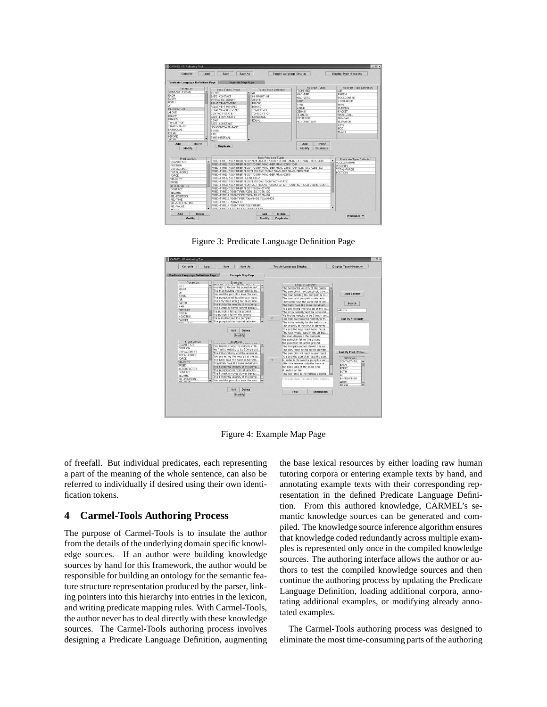| <b>Predicate Language Definition Page</b>                                                                                                                                                                           |   | <b>Example Map Page</b>                                                            |                    |                                |
|---------------------------------------------------------------------------------------------------------------------------------------------------------------------------------------------------------------------|---|------------------------------------------------------------------------------------|--------------------|--------------------------------|
| Token List                                                                                                                                                                                                          |   |                                                                                    | Abstract Types     | Abstract Type Definition       |
| CONTACT-TOKEN                                                                                                                                                                                                       | ▴ | <b>Basic Token Types</b><br><b>Token Type Definition</b><br><b>IDTYPE</b><br>AT    | <b>ITOPTYPEI</b>   | <b>AIR</b>                     |
| <b>FACH</b>                                                                                                                                                                                                         |   | BASIC-CONTACT<br>IN-FRONT-OF                                                       | MAG-DER            | EARTH                          |
| <b>EVERY</b>                                                                                                                                                                                                        |   | SYNTACTIC-OUANT                                                                    | MAG-ZERO           | POOLCENTRE                     |
| ROTH                                                                                                                                                                                                                |   | ABOVE<br>RELATIVE-POS-SPEC                                                         | RODY               | CONTAINER                      |
| ΔT                                                                                                                                                                                                                  |   | <b>BELOW</b>                                                                       | TYPE               | MAN                            |
| IN-FRONT-OF                                                                                                                                                                                                         |   | RELATIVE-TIME-SPEC<br>BEHIND                                                       | VALUE              | PUMPKIN                        |
| ABOVE                                                                                                                                                                                                               |   | RELATIVE-VALUE-SPEC<br>TO-LEFT-OF                                                  | <b>GEN-ID</b>      | PACKET                         |
| BELOW                                                                                                                                                                                                               |   | TO-RIGHT-OF<br>CONTACT-STATE                                                       | OUAN-ID            | SMALL-BALL                     |
| BEHIND                                                                                                                                                                                                              |   | BASIC-BODY-STATE<br>NONEOUAL                                                       | <b>IDENTIFIER</b>  | RIG-RALL                       |
| TO-LEFT-OF                                                                                                                                                                                                          |   | COMP<br><b>EOUAL</b>                                                               | <b>NONCONSTANT</b> | <b>ELEVATOR</b>                |
| TO-RIGHT-OF                                                                                                                                                                                                         |   | BASIC-CONSTANT                                                                     |                    | <b>KEYS</b>                    |
|                                                                                                                                                                                                                     |   | NONCONSTANT-BASIC                                                                  |                    | EGG                            |
| NONEOUAL                                                                                                                                                                                                            |   | <b>TOKEN</b>                                                                       |                    | PLANE                          |
| <b>EOUAL</b>                                                                                                                                                                                                        |   | TIME                                                                               |                    |                                |
| BEFORE<br>ACTED.                                                                                                                                                                                                    | ₹ | TIME-INTERVAL<br>$\overline{\phantom{a}}$                                          |                    |                                |
|                                                                                                                                                                                                                     |   | 2500                                                                               | Delete             |                                |
|                                                                                                                                                                                                                     |   |                                                                                    |                    |                                |
|                                                                                                                                                                                                                     |   |                                                                                    |                    |                                |
| Predicate List                                                                                                                                                                                                      |   | <b>Basic Predicate Types</b>                                                       |                    | Predicate Type Definition<br>図 |
|                                                                                                                                                                                                                     |   | PRED-TYPE1 ?IDENTIFIER ?BODYNUM ?BODY1 ?BODY2 ?COMP ?MAG-DER ?MAG-ZERO ?DIR        |                    | ACCELERATION                   |
|                                                                                                                                                                                                                     |   | PRED-TYPE2 ?IDENTIFIER ?BODY ?COMP ?MAG-DER ?MAG-ZERO ?DIR                         |                    | <b>MELOCITY</b>                |
|                                                                                                                                                                                                                     |   | PRED-TYPE3 PIDENTIFIER 780DY PCOMP ?MAG-DER ?MAG-ZERO ?DIR PGEN-ID1 PGEN-ID2       |                    | TOTAL-FORCE                    |
|                                                                                                                                                                                                                     |   | PRED-TYPE4 PIDENTIFIER 7BODY1 7BODY2 PCOMP PMAG-DER PMAG-ZERO PDIR                 |                    | POSITION                       |
|                                                                                                                                                                                                                     |   | PRED-TYPES ZIDENTIFIER ZBODY ZCOMP ZMAC-DER ZMAC-ZERO                              |                    |                                |
|                                                                                                                                                                                                                     |   | PRED-TYPES ZIDENTIFIER ZIDENTIFIER2                                                |                    |                                |
|                                                                                                                                                                                                                     |   | PRED-TYPE7 ROENTIFIER 780DY1 780DY2 ?CONTACT-STATE                                 |                    |                                |
|                                                                                                                                                                                                                     |   | PRED-TYPES RIDENTIFIER PCONTACT PBODY1 PBODY2 PSTART-CONTACT-STATE PEND-CONT       |                    |                                |
|                                                                                                                                                                                                                     |   | PRED-TYPE9 RIDENTIFIER 780DY 780DY-STATE                                           |                    |                                |
|                                                                                                                                                                                                                     |   | PRED-TYPE10 7IDENTIFIER 7GEN-ID1 7GEN-ID2                                          |                    |                                |
|                                                                                                                                                                                                                     |   | PRED-TYPE11 ZIDENTIFIER 2GEN-ID1 2GEN-ID2                                          |                    |                                |
|                                                                                                                                                                                                                     |   | PRED-TYPE12 ?IDENTIFIER ?OUAN-ID1 ?OUAN-ID2                                        |                    |                                |
|                                                                                                                                                                                                                     |   | PRED-TYPE13 70UAN-ID                                                               |                    |                                |
| OUANTITY2B<br>POSITION<br>DISPLACEMENT<br>TOTAL-FORCE<br>FORCE<br>VELOCITY<br><b>SPEED</b><br><b>ACCELERATION</b><br>CONTACT<br><b>RECOME</b><br>REL-POSITION<br>REL-TIME<br>REL-SPEECH-TIME<br>REL-VALUE<br>MELICO | ۰ | PRED-TYPE14 ?IDENTIFIER ?IDENTIFIER1<br>DOCT: TYDE1.4.A SIDENTICIED SIDENITIEIED.1 |                    | ÷                              |





Figure 4: Example Map Page

of freefall. But individual predicates, each representing a part of the meaning of the whole sentence, can also be referred to individually if desired using their own identification tokens.

## **4 Carmel-Tools Authoring Process**

The purpose of Carmel-Tools is to insulate the author from the details of the underlying domain specific knowledge sources. If an author were building knowledge sources by hand for this framework, the author would be responsible for building an ontology for the semantic feature structure representation produced by the parser, linking pointers into this hierarchy into entries in the lexicon, and writing predicate mapping rules. With Carmel-Tools, the author never has to deal directly with these knowledge sources. The Carmel-Tools authoring process involves designing a Predicate Language Definition, augmenting the base lexical resources by either loading raw human tutoring corpora or entering example texts by hand, and annotating example texts with their corresponding representation in the defined Predicate Language Definition. From this authored knowledge, CARMEL's semantic knowledge sources can be generated and compiled. The knowledge source inference algorithm ensures that knowledge coded redundantly across multiple examples is represented only once in the compiled knowledge sources. The authoring interface allows the author or authors to test the compiled knowledge sources and then continue the authoring process by updating the Predicate Language Definition, loading additional corpora, annotating additional examples, or modifying already annotated examples.

The Carmel-Tools authoring process was designed to eliminate the most time-consuming parts of the authoring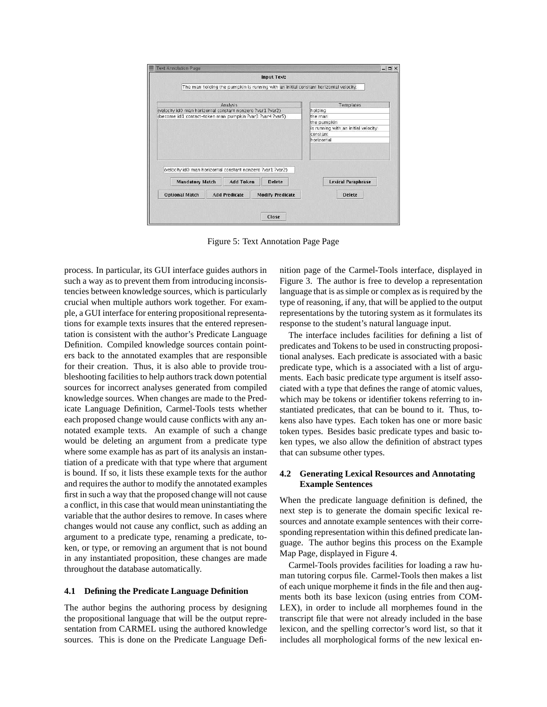

Figure 5: Text Annotation Page Page

process. In particular, its GUI interface guides authors in such a way as to prevent them from introducing inconsistencies between knowledge sources, which is particularly crucial when multiple authors work together. For example, a GUI interface for entering propositional representations for example texts insures that the entered representation is consistent with the author's Predicate Language Definition. Compiled knowledge sources contain pointers back to the annotated examples that are responsible for their creation. Thus, it is also able to provide troubleshooting facilities to help authors track down potential sources for incorrect analyses generated from compiled knowledge sources. When changes are made to the Predicate Language Definition, Carmel-Tools tests whether each proposed change would cause conflicts with any annotated example texts. An example of such a change would be deleting an argument from a predicate type where some example has as part of its analysis an instantiation of a predicate with that type where that argument is bound. If so, it lists these example texts for the author and requires the author to modify the annotated examples first in such a way that the proposed change will not cause a conflict, in this case that would mean uninstantiating the variable that the author desires to remove. In cases where changes would not cause any conflict, such as adding an argument to a predicate type, renaming a predicate, token, or type, or removing an argument that is not bound in any instantiated proposition, these changes are made throughout the database automatically.

#### **4.1 Defining the Predicate Language Definition**

The author begins the authoring process by designing the propositional language that will be the output representation from CARMEL using the authored knowledge sources. This is done on the Predicate Language Definition page of the Carmel-Tools interface, displayed in Figure 3. The author is free to develop a representation language that is as simple or complex as is required by the type of reasoning, if any, that will be applied to the output representations by the tutoring system as it formulates its response to the student's natural language input.

The interface includes facilities for defining a list of predicates and Tokens to be used in constructing propositional analyses. Each predicate is associated with a basic predicate type, which is a associated with a list of arguments. Each basic predicate type argument is itself associated with a type that defines the range of atomic values, which may be tokens or identifier tokens referring to instantiated predicates, that can be bound to it. Thus, tokens also have types. Each token has one or more basic token types. Besides basic predicate types and basic token types, we also allow the definition of abstract types that can subsume other types.

## **4.2 Generating Lexical Resources and Annotating Example Sentences**

When the predicate language definition is defined, the next step is to generate the domain specific lexical resources and annotate example sentences with their corresponding representation within this defined predicate language. The author begins this process on the Example Map Page, displayed in Figure 4.

Carmel-Tools provides facilities for loading a raw human tutoring corpus file. Carmel-Tools then makes a list of each unique morpheme it finds in the file and then augments both its base lexicon (using entries from COM-LEX), in order to include all morphemes found in the transcript file that were not already included in the base lexicon, and the spelling corrector's word list, so that it includes all morphological forms of the new lexical en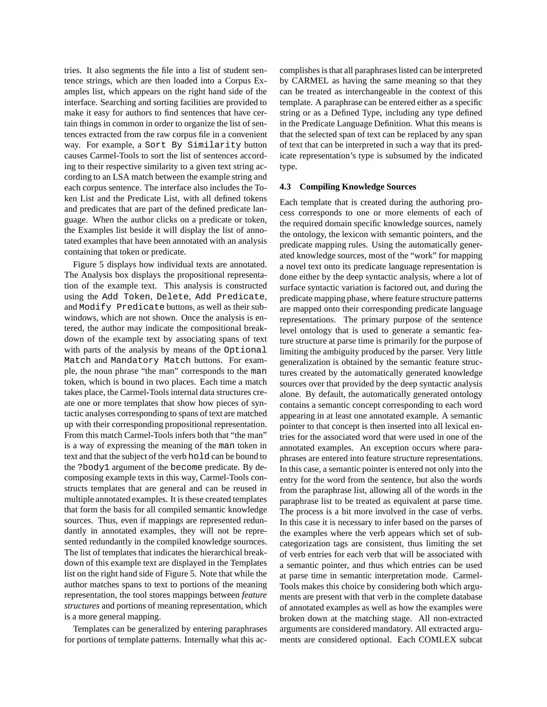tries. It also segments the file into a list of student sentence strings, which are then loaded into a Corpus Examples list, which appears on the right hand side of the interface. Searching and sorting facilities are provided to make it easy for authors to find sentences that have certain things in common in order to organize the list of sentences extracted from the raw corpus file in a convenient way. For example, a Sort By Similarity button causes Carmel-Tools to sort the list of sentences according to their respective similarity to a given text string according to an LSA match between the example string and each corpus sentence. The interface also includes the Token List and the Predicate List, with all defined tokens and predicates that are part of the defined predicate language. When the author clicks on a predicate or token, the Examples list beside it will display the list of annotated examples that have been annotated with an analysis containing that token or predicate.

Figure 5 displays how individual texts are annotated. The Analysis box displays the propositional representation of the example text. This analysis is constructed using the Add Token, Delete, Add Predicate, and Modify Predicate buttons, as well as their subwindows, which are not shown. Once the analysis is entered, the author may indicate the compositional breakdown of the example text by associating spans of text with parts of the analysis by means of the Optional Match and Mandatory Match buttons. For example, the noun phrase "the man" corresponds to the man token, which is bound in two places. Each time a match takes place, the Carmel-Tools internal data structures create one or more templates that show how pieces of syntactic analyses corresponding to spans of text are matched up with their corresponding propositional representation. From this match Carmel-Tools infers both that "the man" is a way of expressing the meaning of the man token in text and that the subject of the verb hold can be bound to the ?body1 argument of the become predicate. By decomposing example texts in this way, Carmel-Tools constructs templates that are general and can be reused in multiple annotated examples. It is these created templates that form the basis for all compiled semantic knowledge sources. Thus, even if mappings are represented redundantly in annotated examples, they will not be represented redundantly in the compiled knowledge sournces. The list of templates that indicates the hierarchical breakdown of this example text are displayed in the Templates list on the right hand side of Figure 5. Note that while the author matches spans to text to portions of the meaning representation, the tool stores mappings between *feature structures* and portions of meaning representation, which is a more general mapping.

Templates can be generalized by entering paraphrases for portions of template patterns. Internally what this accomplishes is that all paraphrases listed can be interpreted by CARMEL as having the same meaning so that they can be treated as interchangeable in the context of this template. A paraphrase can be entered either as a specific string or as a Defined Type, including any type defined in the Predicate Language Definition. What this means is that the selected span of text can be replaced by any span of text that can be interpreted in such a way that its predicate representation's type is subsumed by the indicated type.

### **4.3 Compiling Knowledge Sources**

Each template that is created during the authoring process corresponds to one or more elements of each of the required domain specific knowledge sources, namely the ontology, the lexicon with semantic pointers, and the predicate mapping rules. Using the automatically generated knowledge sources, most of the "work" for mapping a novel text onto its predicate language representation is done either by the deep syntactic analysis, where a lot of surface syntactic variation is factored out, and during the predicate mapping phase, where feature structure patterns are mapped onto their corresponding predicate language representations. The primary purpose of the sentence level ontology that is used to generate a semantic feature structure at parse time is primarily for the purpose of limiting the ambiguity produced by the parser. Very little generalization is obtained by the semantic feature structures created by the automatically generated knowledge sources over that provided by the deep syntactic analysis alone. By default, the automatically generated ontology contains a semantic concept corresponding to each word appearing in at least one annotated example. A semantic pointer to that concept is then inserted into all lexical entries for the associated word that were used in one of the annotated examples. An exception occurs where paraphrases are entered into feature structure representations. In this case, a semantic pointer is entered not only into the entry for the word from the sentence, but also the words from the paraphrase list, allowing all of the words in the paraphrase list to be treated as equivalent at parse time. The process is a bit more involved in the case of verbs. In this case it is necessary to infer based on the parses of the examples where the verb appears which set of subcategorization tags are consistent, thus limiting the set of verb entries for each verb that will be associated with a semantic pointer, and thus which entries can be used at parse time in semantic interpretation mode. Carmel-Tools makes this choice by considering both which arguments are present with that verb in the complete database of annotated examples as well as how the examples were broken down at the matching stage. All non-extracted arguments are considered mandatory. All extracted arguments are considered optional. Each COMLEX subcat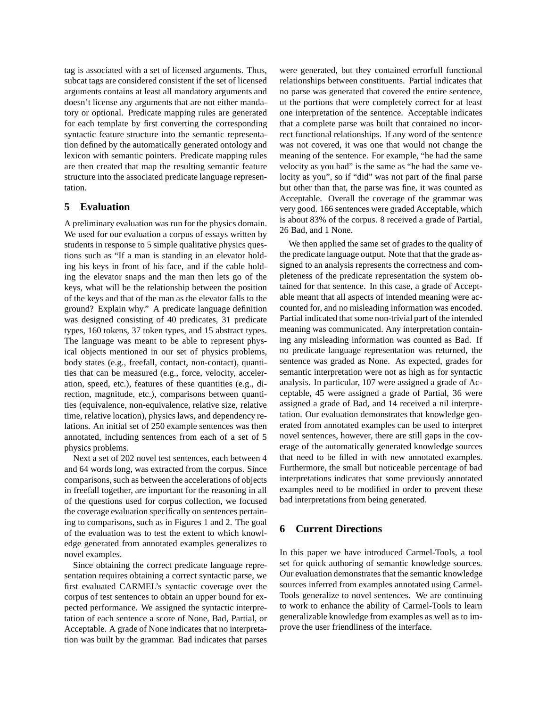tag is associated with a set of licensed arguments. Thus, subcat tags are considered consistent if the set of licensed arguments contains at least all mandatory arguments and doesn't license any arguments that are not either mandatory or optional. Predicate mapping rules are generated for each template by first converting the corresponding syntactic feature structure into the semantic representation defined by the automatically generated ontology and lexicon with semantic pointers. Predicate mapping rules are then created that map the resulting semantic feature structure into the associated predicate language representation.

## **5 Evaluation**

A preliminary evaluation was run for the physics domain. We used for our evaluation a corpus of essays written by students in response to 5 simple qualitative physics questions such as "If a man is standing in an elevator holding his keys in front of his face, and if the cable holding the elevator snaps and the man then lets go of the keys, what will be the relationship between the position of the keys and that of the man as the elevator falls to the ground? Explain why." A predicate language definition was designed consisting of 40 predicates, 31 predicate types, 160 tokens, 37 token types, and 15 abstract types. The language was meant to be able to represent physical objects mentioned in our set of physics problems, body states (e.g., freefall, contact, non-contact), quantities that can be measured (e.g., force, velocity, acceleration, speed, etc.), features of these quantities (e.g., direction, magnitude, etc.), comparisons between quantities (equivalence, non-equivalence, relative size, relative time, relative location), physics laws, and dependency relations. An initial set of 250 example sentences was then annotated, including sentences from each of a set of 5 physics problems.

Next a set of 202 novel test sentences, each between 4 and 64 words long, was extracted from the corpus. Since comparisons, such as between the accelerations of objects in freefall together, are important for the reasoning in all of the questions used for corpus collection, we focused the coverage evaluation specifically on sentences pertaining to comparisons, such as in Figures 1 and 2. The goal of the evaluation was to test the extent to which knowledge generated from annotated examples generalizes to novel examples.

Since obtaining the correct predicate language representation requires obtaining a correct syntactic parse, we first evaluated CARMEL's syntactic coverage over the corpus of test sentences to obtain an upper bound for expected performance. We assigned the syntactic interpretation of each sentence a score of None, Bad, Partial, or Acceptable. A grade of None indicates that no interpretation was built by the grammar. Bad indicates that parses were generated, but they contained errorfull functional relationships between constituents. Partial indicates that no parse was generated that covered the entire sentence, ut the portions that were completely correct for at least one interpretation of the sentence. Acceptable indicates that a complete parse was built that contained no incorrect functional relationships. If any word of the sentence was not covered, it was one that would not change the meaning of the sentence. For example, "he had the same velocity as you had" is the same as "he had the same velocity as you", so if "did" was not part of the final parse but other than that, the parse was fine, it was counted as Acceptable. Overall the coverage of the grammar was very good. 166 sentences were graded Acceptable, which is about 83% of the corpus. 8 received a grade of Partial, 26 Bad, and 1 None.

We then applied the same set of grades to the quality of the predicate language output. Note that that the grade assigned to an analysis represents the correctness and completeness of the predicate representation the system obtained for that sentence. In this case, a grade of Acceptable meant that all aspects of intended meaning were accounted for, and no misleading information was encoded. Partial indicated that some non-trivial part of the intended meaning was communicated. Any interpretation containing any misleading information was counted as Bad. If no predicate language representation was returned, the sentence was graded as None. As expected, grades for semantic interpretation were not as high as for syntactic analysis. In particular, 107 were assigned a grade of Acceptable, 45 were assigned a grade of Partial, 36 were assigned a grade of Bad, and 14 received a nil interpretation. Our evaluation demonstrates that knowledge generated from annotated examples can be used to interpret novel sentences, however, there are still gaps in the coverage of the automatically generated knowledge sources that need to be filled in with new annotated examples. Furthermore, the small but noticeable percentage of bad interpretations indicates that some previously annotated examples need to be modified in order to prevent these bad interpretations from being generated.

## **6 Current Directions**

In this paper we have introduced Carmel-Tools, a tool set for quick authoring of semantic knowledge sources. Our evaluation demonstrates that the semantic knowledge sources inferred from examples annotated using Carmel-Tools generalize to novel sentences. We are continuing to work to enhance the ability of Carmel-Tools to learn generalizable knowledge from examples as well as to improve the user friendliness of the interface.